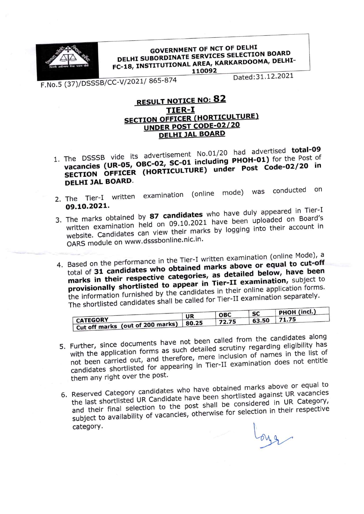

## **GOVERNMENT OF NCT OF DELHI GOVERNMENT OF NCLUT DELIT<br>DELHI SUBORDINATE SERVICES SELECTION BOARD** DELHI SUBORDINATE SERVICES SELECTION<br>FC-18, INSTITUTIONAL AREA, KARKARDOOMA, DELHI-110092

F.No.5 (37)/DSSSB/CC-V/2021/865-874

Dated: 31.12.2021

## **RESULT NOTICE NO: 82** TIER-I SECTION OFFICER (HORTICULTURE) UNDER POST CODE-02/20 **DELHI JAL BOARD**

- 1. The DSSSB vide its advertisement No.01/20 had advertised total-09 vacancies (UR-05, OBC-02, SC-01 including PHOH-01) for the Post of SECTION OFFICER (HORTICULTURE) under Post Code-02/20 in DELHI JAL BOARD.
- 2. The Tier-I written examination (online mode) was conducted on<br> **09.10.2021.** 09.10.2021.
- 3. The marks obtained by  $\frac{87}{20}$  candidates who have duly appeared in Tierard's written examination held on 09.10.2021 have been uploaded on white the candidates can view their marks by logging into their account website. Candidates can view their marks by logging into their account OARS module on www.dsssbonline.nic.in.
- 4. Based on the performance in the Tier-I written examination (online Mode), a total of 31 candidates who obtained marks above or equal to cut-off marks in their respective categories, as detailed below, have been total of 31 candidates who obtained marks above or equal to cut-off provisionally shortlisted to appear in Tier-II examination, subject to the information furnished by the candidates in their online application forms. the information furnished by the candidates in the candidates in the shortlisted candidates shall be called for Tier-II examination separately.

|                                                                   | UR    | <b>OBC</b> | <b>SC</b> | PHOH (incl.) |
|-------------------------------------------------------------------|-------|------------|-----------|--------------|
| <b>CATEGORY</b><br>Cut off marks (out of 200 marks) $\frac{1}{2}$ | 80.25 | 72.75      | 63.50     | 71.75        |
|                                                                   |       |            |           |              |

- 5. Further, since documents have not been called from the candidates along<br>with the application forms as such detailed scrutiny regarding eligibility has<br>not been carried out, and therefore, mere inclusion of names in the with the application forms as such detailed scrutiny regarding eligibility has not been carried out, and therefore, mere measured in the does not entitle candidates shortlisted for appearing in Tier-II examines them any right over the post.
- 6. Reserved Category candldates who have obtained marks above or equal to the last shortlisted UR Candidate have been shortlisted against UR vacancies and their final selection to the post shall be considered in UR Category, subject to availability of vacancies, otherwise for selection in their respective<br>category.